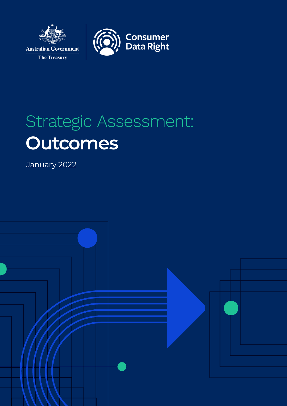

# Strategic Assessment: **Outcomes**

January 2022

The Treasury

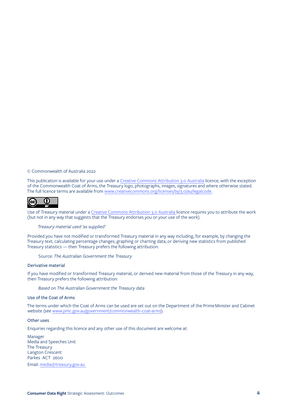© Commonwealth of Australia 2022

This publication is available for your use under a [Creative Commons Attribution 3.0 Australia](http://creativecommons.org/licenses/by/3.0/au/deed.en) licence, with the exception of the Commonwealth Coat of Arms, the Treasury logo, photographs, images, signatures and where otherwise stated. The full licence terms are available from www.creativecommons.org/licenses/by/3.0/au/legalcode.



Use of Treasury material under a [Creative Commons Attribution 3.0 Australia](http://creativecommons.org/licenses/by/3.0/au/deed.en) licence requires you to attribute the work (but not in any way that suggests that the Treasury endorses you or your use of the work).

### *Treasury material used 'as supplied'*

Provided you have not modified or transformed Treasury material in any way including, for example, by changing the Treasury text; calculating percentage changes; graphing or charting data; or deriving new statistics from published Treasury statistics — then Treasury prefers the following attribution:

Source: *The Australian Government the Treasury*

#### Derivative material

If you have modified or transformed Treasury material, or derived new material from those of the Treasury in any way, then Treasury prefers the following attribution:

*Based on The Australian Government the Treasury data*

#### Use of the Coat of Arms

The terms under which the Coat of Arms can be used are set out on the Department of the Prime Minister and Cabinet website (see [www.pmc.gov.au/government/commonwealth-coat-arms\)](http://www.pmc.gov.au/government/commonwealth-coat-arms).

### Other uses

Enquiries regarding this licence and any other use of this document are welcome at:

Manager Media and Speeches Unit The Treasury Langton Crescent Parkes ACT 2600 Email: [media@treasury.gov.au](mailto:media@treasury.gov.au)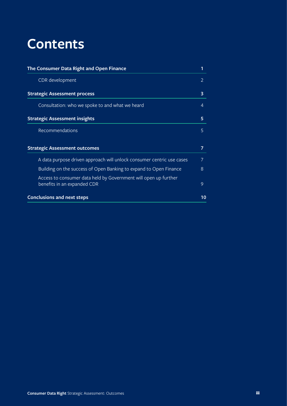# **Contents**

| The Consumer Data Right and Open Finance                                                       | 1                       |
|------------------------------------------------------------------------------------------------|-------------------------|
| CDR development                                                                                | 2                       |
| <b>Strategic Assessment process</b>                                                            | $\overline{\mathbf{3}}$ |
| Consultation: who we spoke to and what we heard                                                | 4                       |
| <b>Strategic Assessment insights</b>                                                           | 5                       |
| Recommendations                                                                                | 5                       |
| <b>Strategic Assessment outcomes</b>                                                           | 7                       |
| A data purpose driven approach will unlock consumer centric use cases                          | 7                       |
| Building on the success of Open Banking to expand to Open Finance                              | 8                       |
| Access to consumer data held by Government will open up further<br>benefits in an expanded CDR | 9                       |
| <b>Conclusions and next steps</b>                                                              | 10                      |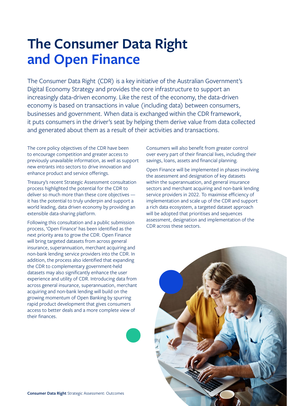# <span id="page-3-0"></span>**The Consumer Data Right and Open Finance**

The Consumer Data Right (CDR) is a key initiative of the Australian Government's Digital Economy Strategy and provides the core infrastructure to support an increasingly data-driven economy. Like the rest of the economy, the data-driven economy is based on transactions in value (including data) between consumers, businesses and government. When data is exchanged within the CDR framework, it puts consumers in the driver's seat by helping them derive value from data collected and generated about them as a result of their activities and transactions.

The core policy objectives of the CDR have been to encourage competition and greater access to previously unavailable information, as well as support new entrants into sectors to drive innovation and enhance product and service offerings.

Treasury's recent Strategic Assessment consultation process highlighted the potential for the CDR to deliver so much more than these core objectives it has the potential to truly underpin and support a world leading, data driven economy by providing an extensible data-sharing platform.

Following this consultation and a public submission process, 'Open Finance' has been identified as the next priority area to grow the CDR. Open Finance will bring targeted datasets from across general insurance, superannuation, merchant acquiring and non-bank lending service providers into the CDR. In addition, the process also identified that expanding the CDR to complementary government-held datasets may also significantly enhance the user experience and utility of CDR. Introducing data from across general insurance, superannuation, merchant acquiring and non-bank lending will build on the growing momentum of Open Banking by spurring rapid product development that gives consumers access to better deals and a more complete view of their finances.

Consumers will also benefit from greater control over every part of their financial lives, including their savings, loans, assets and financial planning.

Open Finance will be implemented in phases involving the assessment and designation of key datasets within the superannuation, and general insurance sectors and merchant acquiring and non-bank lending service providers in 2022. To maximise efficiency of implementation and scale up of the CDR and support a rich data ecosystem, a targeted dataset approach will be adopted that prioritises and sequences assessment, designation and implementation of the CDR across these sectors.

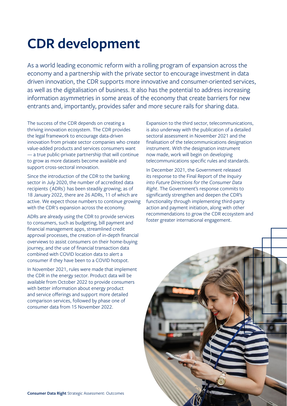# <span id="page-4-0"></span>**CDR development**

As a world leading economic reform with a rolling program of expansion across the economy and a partnership with the private sector to encourage investment in data driven innovation, the CDR supports more innovative and consumer-oriented services, as well as the digitalisation of business. It also has the potential to address increasing information asymmetries in some areas of the economy that create barriers for new entrants and, importantly, provides safer and more secure rails for sharing data.

The success of the CDR depends on creating a thriving innovation ecosystem. The CDR provides the legal framework to encourage data-driven innovation from private sector companies who create value-added products and services consumers want — a true public-private partnership that will continue to grow as more datasets become available and support cross-sectoral innovation.

Since the introduction of the CDR to the banking sector in July 2020, the number of accredited data recipients (ADRs) has been steadily growing; as of 18 January 2022, there are 26 ADRs, 11 of which are active. We expect those numbers to continue growing with the CDR's expansion across the economy.

ADRs are already using the CDR to provide services to consumers, such as budgeting, bill payment and financial management apps, streamlined credit approval processes, the creation of in-depth financial overviews to assist consumers on their home-buying journey, and the use of financial transaction data combined with COVID location data to alert a consumer if they have been to a COVID hotspot.

In November 2021, rules were made that implement the CDR in the energy sector. Product data will be available from October 2022 to provide consumers with better information about energy product and service offerings and support more detailed comparison services, followed by phase one of consumer data from 15 November 2022.

Expansion to the third sector, telecommunications, is also underway with the publication of a detailed sectoral assessment in November 2021 and the finalisation of the telecommunications designation instrument. With the designation instrument now made, work will begin on developing telecommunications specific rules and standards.

In December 2021, the Government released its response to the Final Report of the *Inquiry into Future Directions for the Consumer Data Right*. The Government's response commits to significantly strengthen and deepen the CDR's functionality through implementing third-party action and payment initiation, along with other recommendations to grow the CDR ecosystem and foster greater international engagement.

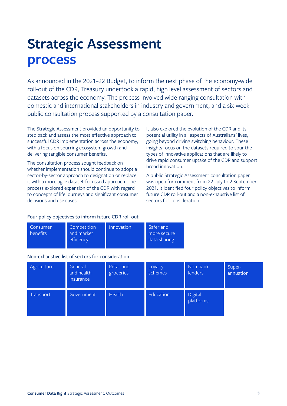# <span id="page-5-0"></span>**Strategic Assessment process**

As announced in the 2021–22 Budget, to inform the next phase of the economy-wide roll-out of the CDR, Treasury undertook a rapid, high level assessment of sectors and datasets across the economy. The process involved wide ranging consultation with domestic and international stakeholders in industry and government, and a six-week public consultation process supported by a consultation paper.

The Strategic Assessment provided an opportunity to step back and assess the most effective approach to successful CDR implementation across the economy, with a focus on spurring ecosystem growth and delivering tangible consumer benefits.

The consultation process sought feedback on whether implementation should continue to adopt a sector-by-sector approach to designation or replace it with a more agile dataset-focussed approach. The process explored expansion of the CDR with regard to concepts of life journeys and significant consumer decisions and use cases.

It also explored the evolution of the CDR and its potential utility in all aspects of Australians' lives, going beyond driving switching behaviour. These insights focus on the datasets required to spur the types of innovative applications that are likely to drive rapid consumer uptake of the CDR and support broad innovation.

A public Strategic Assessment consultation paper was open for comment from 22 July to 2 September 2021. It identified four policy objectives to inform future CDR roll-out and a non-exhaustive list of sectors for consideration.

### Four policy objectives to inform future CDR roll-out

| Consumer<br><b>benefits</b> | Competition<br>and market<br>efficency | Innovation | Safer and<br>more secure<br>data sharing |
|-----------------------------|----------------------------------------|------------|------------------------------------------|
|-----------------------------|----------------------------------------|------------|------------------------------------------|

### Non-exhaustive list of sectors for consideration

| Agriculture | General<br>and health<br><i>insurance</i> | Retail and<br>groceries | Loyalty<br>schemes | Non-bank<br>lenders  | Super-<br>annuation |
|-------------|-------------------------------------------|-------------------------|--------------------|----------------------|---------------------|
| Transport   | Government                                | <b>Health</b>           | Education          | Digital<br>platforms |                     |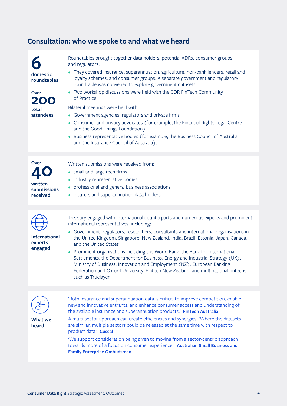# <span id="page-6-0"></span>**Consultation: who we spoke to and what we heard**

| domestic<br>roundtables<br>Over<br><b>200</b><br>total<br>attendees | Roundtables brought together data holders, potential ADRs, consumer groups<br>and regulators:<br>• They covered insurance, superannuation, agriculture, non-bank lenders, retail and<br>loyalty schemes, and consumer groups. A separate government and regulatory<br>roundtable was convened to explore government datasets<br>• Two workshop discussions were held with the CDR FinTech Community<br>of Practice.<br>Bilateral meetings were held with:<br>Government agencies, regulators and private firms<br>$\bullet$<br>• Consumer and privacy advocates (for example, the Financial Rights Legal Centre<br>and the Good Things Foundation)<br>• Business representative bodies (for example, the Business Council of Australia<br>and the Insurance Council of Australia). |
|---------------------------------------------------------------------|------------------------------------------------------------------------------------------------------------------------------------------------------------------------------------------------------------------------------------------------------------------------------------------------------------------------------------------------------------------------------------------------------------------------------------------------------------------------------------------------------------------------------------------------------------------------------------------------------------------------------------------------------------------------------------------------------------------------------------------------------------------------------------|
| <b>Over</b><br>written<br>submissions<br>received                   | Written submissions were received from:<br>• small and large tech firms<br>industry representative bodies<br>$\bullet$<br>professional and general business associations<br>• insurers and superannuation data holders.                                                                                                                                                                                                                                                                                                                                                                                                                                                                                                                                                            |
| <b>International</b><br>experts<br>engaged                          | Treasury engaged with international counterparts and numerous experts and prominent<br>international representatives, including:<br>Government, regulators, researchers, consultants and international organisations in<br>the United Kingdom, Singapore, New Zealand, India, Brazil, Estonia, Japan, Canada,<br>and the United States<br>• Prominent organisations including the World Bank, the Bank for International<br>Settlements, the Department for Business, Energy and Industrial Strategy (UK),<br>Ministry of Business, Innovation and Employment (NZ), European Banking<br>Federation and Oxford University, Fintech New Zealand, and multinational fintechs<br>such as Truelayer.                                                                                    |
| <b>What we</b><br>heard                                             | 'Both insurance and superannuation data is critical to improve competition, enable<br>new and innovative entrants, and enhance consumer access and understanding of<br>the available insurance and superannuation products.' FinTech Australia<br>A multi-sector approach can create efficiencies and synergies: 'Where the datasets<br>are similar, multiple sectors could be released at the same time with respect to<br>product data.' Cuscal<br>'We support consideration being given to moving from a sector-centric approach<br>towards more of a focus on consumer experience.' Australian Small Business and<br><b>Family Enterprise Ombudsman</b>                                                                                                                        |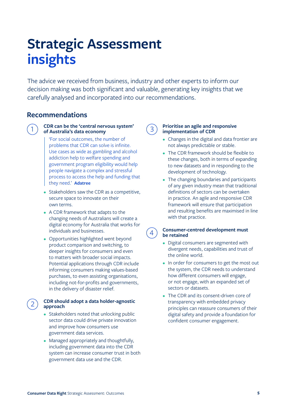# <span id="page-7-0"></span>**Strategic Assessment insights**

The advice we received from business, industry and other experts to inform our decision making was both significant and valuable, generating key insights that we carefully analysed and incorporated into our recommendations.

### **Recommendations**



### 1 **CDR can be the 'central nervous system' of Australia's data economy**

'For social outcomes, the number of problems that CDR can solve is infinite. Use cases as wide as gambling and alcohol addiction help to welfare spending and government program eligibility would help people navigate a complex and stressful process to access the help and funding that they need.' **Adatree**

- **•** Stakeholders saw the CDR as a competitive, secure space to innovate on their own terms.
- **•** A CDR framework that adapts to the changing needs of Australians will create a digital economy for Australia that works for individuals and businesses.
- **•** Opportunities highlighted went beyond product comparison and switching, to deeper insights for consumers and even to matters with broader social impacts. Potential applications through CDR include informing consumers making values-based purchases, to even assisting organisations, including not-for-profits and governments, in the delivery of disaster relief.

### 2 **CDR should adopt a data holder-agnostic approach**

- **•** Stakeholders noted that unlocking public sector data could drive private innovation and improve how consumers use government data services.
- **•** Managed appropriately and thoughtfully, including government data into the CDR system can increase consumer trust in both government data use and the CDR.

### 3 **Prioritise an agile and responsive implementation of CDR**

- **•** Changes in the digital and data frontier are not always predictable or stable.
- **•** The CDR framework should be flexible to these changes, both in terms of expanding to new datasets and in responding to the development of technology.
- **•** The changing boundaries and participants of any given industry mean that traditional definitions of sectors can be overtaken in practice. An agile and responsive CDR framework will ensure that participation and resulting benefits are maximised in line with that practice.

### 4 **Consumer-centred development must be retained**

- **•** Digital consumers are segmented with divergent needs, capabilities and trust of the online world.
- **•** In order for consumers to get the most out the system, the CDR needs to understand how different consumers will engage, or not engage, with an expanded set of sectors or datasets.
- **•** The CDR and its consent-driven core of transparency with embedded privacy principles can reassure consumers of their digital safety and provide a foundation for confident consumer engagement.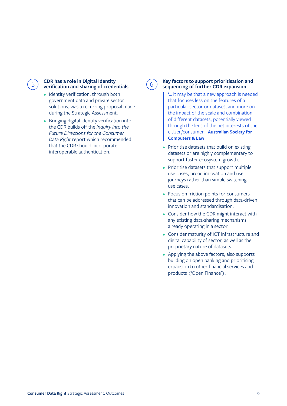

### 5 **CDR has a role in Digital Identity verification and sharing of credentials**

- **•** Identity verification, through both government data and private sector solutions, was a recurring proposal made during the Strategic Assessment.
- **•** Bringing digital identity verification into the CDR builds off the *Inquiry into the Future Directions for the Consumer Data Right* report which recommended that the CDR should incorporate interoperable authentication.

6 **Key factors to support prioritisation and sequencing of further CDR expansion**

> '… it may be that a new approach is needed that focuses less on the features of a particular sector or dataset, and more on the impact of the scale and combination of different datasets, potentially viewed through the lens of the net interests of the citizen/consumer.' **Australian Society for Computers & Law**

- **•** Prioritise datasets that build on existing datasets or are highly complementary to support faster ecosystem growth.
- **•** Prioritise datasets that support multiple use cases, broad innovation and user journeys rather than simple switching use cases.
- **•** Focus on friction points for consumers that can be addressed through data-driven innovation and standardisation.
- **•** Consider how the CDR might interact with any existing data-sharing mechanisms already operating in a sector.
- **•** Consider maturity of ICT infrastructure and digital capability of sector, as well as the proprietary nature of datasets.
- **•** Applying the above factors, also supports building on open banking and prioritising expansion to other financial services and products ('Open Finance').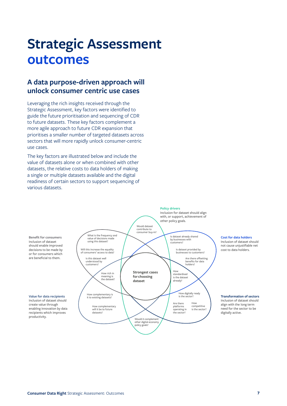# <span id="page-9-0"></span>**Strategic Assessment outcomes**

# **A data purpose-driven approach will unlock consumer centric use cases**

Leveraging the rich insights received through the Strategic Assessment, key factors were identified to guide the future prioritisation and sequencing of CDR to future datasets. These key factors complement a more agile approach to future CDR expansion that prioritises a smaller number of targeted datasets across sectors that will more rapidly unlock consumer-centric use cases.

The key factors are illustrated below and include the value of datasets alone or when combined with other datasets, the relative costs to data holders of making a single or multiple datasets available and the digital readiness of certain sectors to support sequencing of various datasets.



**Consumer Data Right** Strategic Assessment: Outcomes **7**

productivity.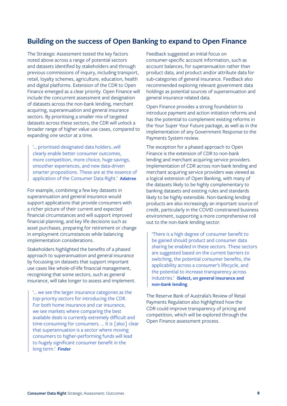## <span id="page-10-0"></span>**Building on the success of Open Banking to expand to Open Finance**

The Strategic Assessment tested the key factors noted above across a range of potential sectors and datasets identified by stakeholders and through previous commissions of inquiry, including transport, retail, loyalty schemes, agriculture, education, health and digital platforms. Extension of the CDR to Open Finance emerged as a clear priority. Open Finance will include the concurrent assessment and designation of datasets across the non-bank lending, merchant acquiring, superannuation and general insurance sectors. By prioritising a smaller mix of targeted datasets across these sectors, the CDR will unlock a broader range of higher value use cases, compared to expanding one sector at a time.

'… prioritised designated data holders…will clearly enable better consumer outcomes, more competition, more choice, huge savings, smoother experiences, and new data-driven smarter propositions. These are at the essence of application of the Consumer Data Right.' **Adatree**

For example, combining a few key datasets in superannuation and general insurance would support applications that provide consumers with a richer picture of their current and expected financial circumstances and will support improved financial planning, and key life decisions such as asset purchases, preparing for retirement or change in employment circumstances while balancing implementation considerations.

Stakeholders highlighted the benefits of a phased approach to superannuation and general insurance by focussing on datasets that support important use cases like whole-of-life financial management, recognising that some sectors, such as general insurance, will take longer to assess and implement.

'… we see the larger insurance categories as the top-priority sectors for introducing the CDR. For both home insurance and car insurance, we see markets where comparing the best available deals is currently extremely difficult and time-consuming for consumers. ... It is [also] clear that superannuation is a sector where moving consumers to higher-performing funds will lead to hugely significant consumer benefit in the long term.' **Finder**

Feedback suggested an initial focus on consumer-specific account information, such as account balances, for superannuation rather than product data, and product and/or attribute data for sub-categories of general insurance. Feedback also recommended exploring relevant government data holdings as potential sources of superannuation and general insurance related data.

Open Finance provides a strong foundation to introduce payment and action initiation reforms and has the potential to complement existing reforms in the Your Super Your Future package, as well as in the implementation of any Government Response to the Payments System review.

The exception for a phased approach to Open Finance is the extension of CDR to non-bank lending and merchant acquiring service providers. Implementation of CDR across non-bank lending and merchant acquiring service providers was viewed as a logical extension of Open Banking, with many of the datasets likely to be highly complementary to banking datasets and existing rules and standards likely to be highly extensible. Non-banking lending products are also increasingly an important source of credit, particularly in the COVID constrained business environment, supporting a more comprehensive roll out to the non-bank lending sector.

'There is a high degree of consumer benefit to be gained should product and consumer data sharing be enabled in these sectors. These sectors are suggested based on the current barriers to switching, the potential consumer benefits, the applicability across a consumer's lifecycle, and the potential to increase transparency across industries.' **iSelect, on general insurance and non-bank lending**

The Reserve Bank of Australia's Review of Retail Payments Regulation also highlighted how the CDR could improve transparency of pricing and competition, which will be explored through the Open Finance assessment process.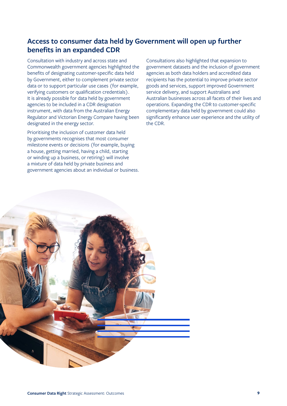# <span id="page-11-0"></span>**Access to consumer data held by Government will open up further benefits in an expanded CDR**

Consultation with industry and across state and Commonwealth government agencies highlighted the benefits of designating customer-specific data held by Government, either to complement private sector data or to support particular use cases (for example, verifying customers or qualification credentials). It is already possible for data held by government agencies to be included in a CDR designation instrument, with data from the Australian Energy Regulator and Victorian Energy Compare having been designated in the energy sector.

Prioritising the inclusion of customer data held by governments recognises that most consumer milestone events or decisions (for example, buying a house, getting married, having a child, starting or winding up a business, or retiring) will involve a mixture of data held by private business and government agencies about an individual or business.

Consultations also highlighted that expansion to government datasets and the inclusion of government agencies as both data holders and accredited data recipients has the potential to improve private sector goods and services, support improved Government service delivery, and support Australians and Australian businesses across all facets of their lives and operations. Expanding the CDR to customer-specific complementary data held by government could also significantly enhance user experience and the utility of the CDR.

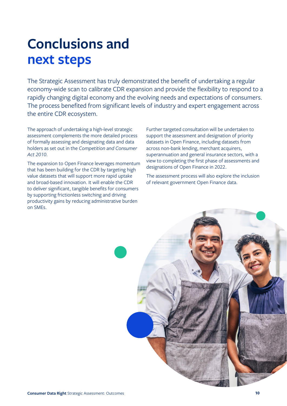# <span id="page-12-0"></span>**Conclusions and next steps**

The Strategic Assessment has truly demonstrated the benefit of undertaking a regular economy-wide scan to calibrate CDR expansion and provide the flexibility to respond to a rapidly changing digital economy and the evolving needs and expectations of consumers. The process benefited from significant levels of industry and expert engagement across the entire CDR ecosystem.

The approach of undertaking a high-level strategic assessment complements the more detailed process of formally assessing and designating data and data holders as set out in the *Competition and Consumer Act 2010*.

The expansion to Open Finance leverages momentum that has been building for the CDR by targeting high value datasets that will support more rapid uptake and broad-based innovation. It will enable the CDR to deliver significant, tangible benefits for consumers by supporting frictionless switching and driving productivity gains by reducing administrative burden on SMEs.

Further targeted consultation will be undertaken to support the assessment and designation of priority datasets in Open Finance, including datasets from across non-bank lending, merchant acquirers, superannuation and general insurance sectors, with a view to completing the first phase of assessments and designations of Open Finance in 2022.

The assessment process will also explore the inclusion of relevant government Open Finance data.